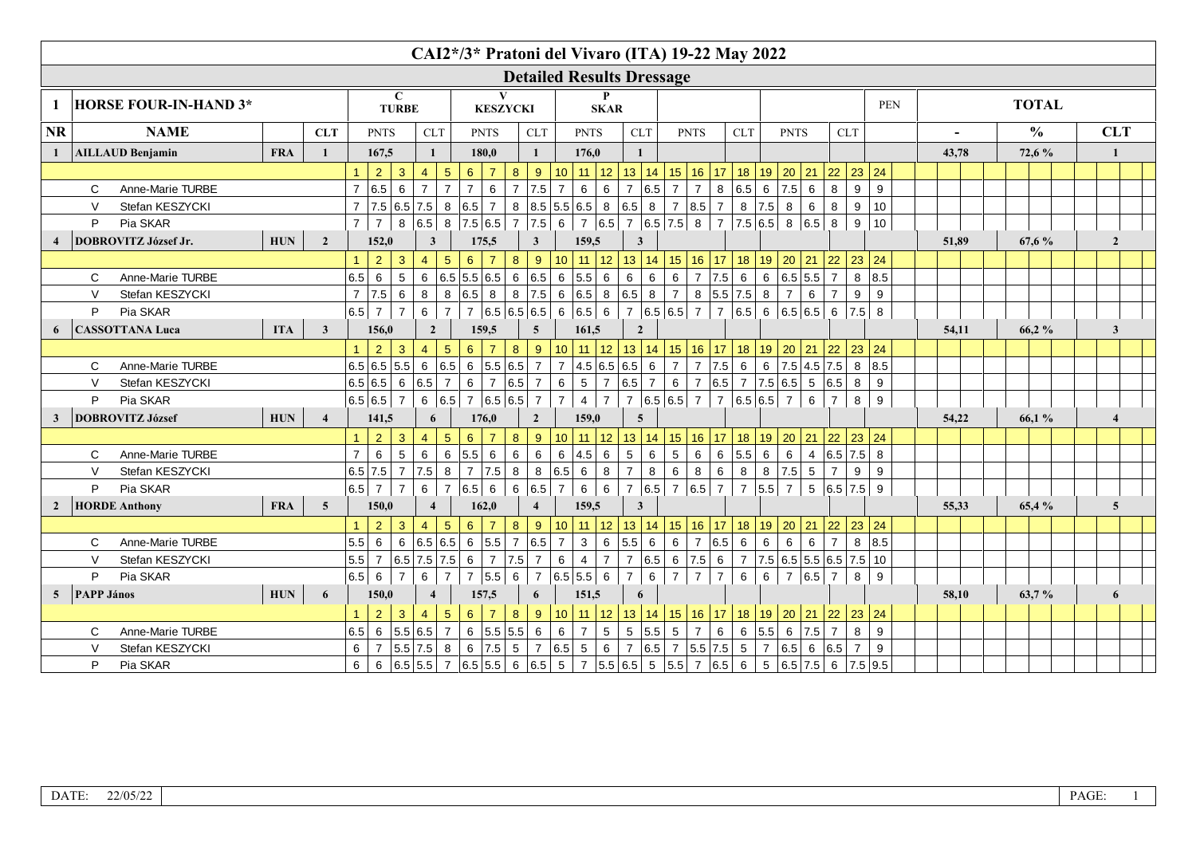|                |                   |                              |             |                |                      |                                                                                                                                                                         |                  |                 |                | CAI2*/3* Pratoni del Vivaro (ITA) 19-22 May 2022 |                 |                  |                |                                                                       |                  |                                              |                                                  |                   |                |                  |                              |                |                 |                                                                                 |       |       |               |                         |
|----------------|-------------------|------------------------------|-------------|----------------|----------------------|-------------------------------------------------------------------------------------------------------------------------------------------------------------------------|------------------|-----------------|----------------|--------------------------------------------------|-----------------|------------------|----------------|-----------------------------------------------------------------------|------------------|----------------------------------------------|--------------------------------------------------|-------------------|----------------|------------------|------------------------------|----------------|-----------------|---------------------------------------------------------------------------------|-------|-------|---------------|-------------------------|
|                |                   |                              |             |                |                      |                                                                                                                                                                         |                  |                 |                |                                                  |                 |                  |                |                                                                       |                  | <b>Detailed Results Dressage</b>             |                                                  |                   |                |                  |                              |                |                 |                                                                                 |       |       |               |                         |
| 1              |                   | <b>HORSE FOUR-IN-HAND 3*</b> |             |                |                      | $\mathbf C$<br><b>TURBE</b>                                                                                                                                             |                  |                 |                | <b>KESZYCKI</b>                                  |                 |                  |                |                                                                       | P<br><b>SKAR</b> |                                              |                                                  |                   |                |                  |                              |                |                 |                                                                                 | PEN   |       | <b>TOTAL</b>  |                         |
| <b>NR</b>      |                   | <b>NAME</b>                  |             | <b>CLT</b>     |                      | <b>PNTS</b>                                                                                                                                                             |                  | ${\rm CLT}$     |                | <b>PNTS</b>                                      |                 | ${\rm CLT}$      |                | <b>PNTS</b>                                                           |                  | CLT                                          |                                                  | <b>PNTS</b>       |                | <b>CLT</b>       |                              | <b>PNTS</b>    |                 | <b>CLT</b>                                                                      |       |       | $\frac{0}{0}$ | <b>CLT</b>              |
| 1              |                   | <b>AILLAUD Benjamin</b>      | <b>FRA</b>  | $\mathbf{1}$   |                      | 167,5                                                                                                                                                                   | $\mathbf{1}$     |                 |                | 180.0                                            |                 | $\mathbf{1}$     |                | 176.0                                                                 |                  | $\mathbf{1}$                                 |                                                  |                   |                |                  |                              |                |                 |                                                                                 |       | 43,78 | 72,6 %        | $\mathbf{1}$            |
|                |                   |                              |             |                | $\blacktriangleleft$ | $\overline{2}$<br>$\mathbf{3}$                                                                                                                                          | $\overline{4}$   | $5\phantom{.0}$ | 6 <sup>1</sup> | $\overline{7}$                                   | 8 <sup>°</sup>  | 9                |                |                                                                       |                  |                                              |                                                  |                   |                |                  |                              |                |                 | 10   11   12   13   14   15   16   17   18   19   20   21   22   23   24        |       |       |               |                         |
|                | $\mathsf{C}$      | Anne-Marie TURBE             |             |                | $\overline{7}$       | 6.5<br>6                                                                                                                                                                | $\overline{7}$   | $\overline{7}$  | $\overline{7}$ | $\,6\,$                                          | $\overline{7}$  | 7.5              | $\overline{7}$ | $\,6\,$                                                               | $6\phantom{a}$   | $\overline{7}$                               | $ 6.5 $ 7                                        | 7 <sup>1</sup>    |                | 8 6.5 6 7.5 6    |                              |                |                 | 8<br>9                                                                          | 9     |       |               |                         |
|                | $\mathsf{V}$      | Stefan KESZYCKI              |             |                |                      | $7$   7.5   6.5   7.5   8                                                                                                                                               |                  |                 | $ 6.5 $ 7      |                                                  |                 |                  |                |                                                                       |                  | 8 8.5 5.5 6.5 8 6.5 8 7 8.5 7 8 7.5 8        |                                                  |                   |                |                  |                              |                | $6\overline{6}$ | 8<br>9                                                                          | 10    |       |               |                         |
|                | P                 | Pia SKAR                     |             |                | $\overline{7}$       | $\overline{7}$                                                                                                                                                          | 8 6.5            | 8               |                | 7.5 6.5                                          | 7 7.5           |                  | $6 \mid$       |                                                                       |                  | 7 6.5 7 6.5 7.5 8 7 7.5 6.5 8 6.5 8          |                                                  |                   |                |                  |                              |                |                 | 9                                                                               | 10    |       |               |                         |
|                |                   | DOBROVITZ József Jr.         | ${\bf HUN}$ | $\overline{2}$ |                      | 152,0                                                                                                                                                                   | $\mathbf{3}$     |                 |                | 175,5                                            |                 | $\mathbf{3}$     |                | 159,5                                                                 |                  | 3                                            |                                                  |                   |                |                  |                              |                |                 |                                                                                 |       | 51,89 | 67,6 %        | $\overline{2}$          |
|                |                   |                              |             |                | $\mathbf{1}$         | 2<br>$\mathbf{3}$                                                                                                                                                       | $\overline{4}$   | $5\phantom{.0}$ | 6              | $\overline{7}$                                   | $\bf{8}$        | $\vert$ 9        |                |                                                                       |                  |                                              |                                                  |                   |                |                  |                              |                |                 | 10   11   12   13   14   15   16   17   18   19   20   21   22   23   24        |       |       |               |                         |
|                | $\mathsf{C}$      | Anne-Marie TURBE             |             |                | 6.5                  | $5\phantom{.0}$<br>6                                                                                                                                                    |                  |                 |                | 6 6.5 5.5 6.5                                    |                 |                  |                | 6   6.5   6   5.5   6                                                 |                  | $\,6\,$<br>$\,6\,$                           | $\overline{6}$                                   |                   |                | 7 7.5 6          | 6 6.5 5.5                    |                |                 | $\overline{7}$                                                                  | 8 8.5 |       |               |                         |
|                | $\mathsf{V}$      | Stefan KESZYCKI              |             |                | $\overline{7}$       | 7.5 <br>6                                                                                                                                                               | $\boldsymbol{8}$ |                 | 8 6.5 8        |                                                  |                 |                  |                |                                                                       |                  | $8$ 7.5 6 6.5 8 6.5 8 7 8 5.5 7.5 8          |                                                  |                   |                |                  |                              | 7 <sup>1</sup> | 6               | $\overline{7}$<br>9                                                             | 9     |       |               |                         |
|                | P                 | Pia SKAR                     |             |                | 6.5                  | $\overline{7}$<br>$\overline{7}$                                                                                                                                        | $6\phantom{.}6$  | $\overline{7}$  |                | 7 6.5 6.5 6.5 6 6.5 6                            |                 |                  |                |                                                                       |                  |                                              |                                                  |                   |                |                  |                              |                |                 | 7 $ 6.5 6.5 $ 7   7 $ 6.5 $ 6 $ 6.5 6.5 $ 6   7.5   8                           |       |       |               |                         |
| 6              |                   | <b>CASSOTTANA Luca</b>       | <b>ITA</b>  | $\mathbf{3}$   |                      | 156,0                                                                                                                                                                   | $\overline{2}$   |                 |                | 159,5                                            |                 | $\overline{5}$   |                | 161,5                                                                 |                  | $\overline{2}$                               |                                                  |                   |                |                  |                              |                |                 |                                                                                 |       | 54,11 | 66,2%         | $\mathbf{3}$            |
|                |                   |                              |             |                |                      | $\overline{2}$<br>$\mathbf{3}$                                                                                                                                          | $\overline{4}$   | $\sqrt{5}$      | 6 <sup>°</sup> | $\overline{7}$                                   | 8               | $\vert$ 9        |                |                                                                       |                  |                                              |                                                  |                   |                |                  |                              |                |                 | $10$   11   12   13   14   15   16   17   18   19   20   21   22   23   24      |       |       |               |                         |
|                | $\mathsf{C}$      | Anne-Marie TURBE             |             |                |                      |                                                                                                                                                                         |                  |                 |                |                                                  |                 |                  |                |                                                                       |                  |                                              |                                                  |                   |                |                  |                              |                |                 | $7  4.5 6.5 6.5 6  7  7  7.5 6  6  7.5  4.5  7.5 8  8.5$                        |       |       |               |                         |
|                | $\mathsf{V}$      | Stefan KESZYCKI              |             |                |                      | 6.5 6.5 6 6.5 7                                                                                                                                                         |                  |                 |                | 6   7   6.5   7                                  |                 |                  |                |                                                                       |                  |                                              |                                                  |                   |                |                  |                              |                |                 | $6$   5   7   6.5   7   6   7   6.5   7   7.5   6.5   5   6.5   8               | 9     |       |               |                         |
|                | P                 | Pia SKAR                     |             |                |                      | 6.5 6.5 7                                                                                                                                                               |                  |                 |                | 6 6.5 7 6.5 6.5 7                                |                 |                  | 7 <sup>1</sup> | $4 \mid 7 \mid$                                                       |                  | 7 $ 6.5 6.5 7 7 6.5 6.5 7 $                  |                                                  |                   |                |                  |                              |                | $6\overline{6}$ | $7^{\circ}$<br>8                                                                | 9     |       |               |                         |
| $\mathbf{3}$   |                   | <b>DOBROVITZ József</b>      | <b>HUN</b>  | $\overline{4}$ |                      | 141,5                                                                                                                                                                   |                  | 6               |                | 176,0                                            |                 | $\overline{2}$   |                | 159,0                                                                 |                  | $\overline{5}$                               |                                                  |                   |                |                  |                              |                |                 |                                                                                 |       | 54,22 | 66,1%         | $\boldsymbol{4}$        |
|                |                   |                              |             |                |                      | $\overline{2}$<br>$\mathbf{3}$                                                                                                                                          | $\overline{4}$   | $\sqrt{5}$      | $\,$ 6 $\,$    | $\overline{7}$                                   | $\bf 8$         | 9                |                |                                                                       |                  |                                              |                                                  |                   |                |                  |                              |                |                 | <u>10   11   12   13   14   15   16   17   18   19   20   21   22   23   24</u> |       |       |               |                         |
|                | C                 | Anne-Marie TURBE             |             |                | $\overline{7}$       | $5\overline{)}$<br>6                                                                                                                                                    | $\,6\,$          |                 | 6  5.5  6      |                                                  | $\,6\,$         | $6\phantom{a}$   |                | 6 4.5 6                                                               |                  | $5\phantom{.0}$                              | $6 \mid 5 \mid$                                  |                   |                |                  |                              |                |                 | $6$ 6 5.5 6 6 4 6.5 7.5 8                                                       |       |       |               |                         |
|                | $\mathsf{V}$      | Stefan KESZYCKI              |             |                |                      | 6.5   7.5                                                                                                                                                               | 7  7.5  8        |                 |                | 7 7.5                                            |                 |                  |                | 8   8   6.5   6   8                                                   |                  | 7 <sup>1</sup>                               |                                                  |                   |                | 8 6 8 6 8 8 7.55 |                              |                |                 | $\overline{7}$<br>9                                                             | 9     |       |               |                         |
|                | P                 | Pia SKAR                     |             |                | $6.5 \mid 7$         | $\overline{7}$                                                                                                                                                          | $6\overline{6}$  |                 | 7 6.5 6        |                                                  | 6 6.5 7         |                  |                |                                                                       |                  |                                              |                                                  |                   |                |                  |                              |                |                 | 6 6 7 6.5 7 6.5 7 7 5.5 7 5 6.5 7.5 9                                           |       |       |               |                         |
| $\overline{2}$ |                   | <b>HORDE Anthony</b>         | <b>FRA</b>  | $\overline{5}$ |                      | 150,0                                                                                                                                                                   | $\overline{4}$   |                 |                | 162,0                                            |                 | $\overline{4}$   |                | 159,5                                                                 |                  | 3                                            |                                                  |                   |                |                  |                              |                |                 |                                                                                 |       | 55,33 | 65,4 %        | $\overline{\mathbf{5}}$ |
|                |                   |                              |             |                | $\blacktriangleleft$ | $\overline{2}$<br>$\mathbf{3}$                                                                                                                                          | $\overline{4}$   | $\sqrt{5}$      | $6^{\circ}$    | $\overline{7}$                                   | 8               | 9                |                |                                                                       |                  |                                              |                                                  |                   |                |                  |                              |                |                 | $10$   11   12   13   14   15   16   17   18   19   20   21   22   23   24      |       |       |               |                         |
|                | $\Omega$          | Anne-Marie TURBE             |             |                | 5.5                  | 6                                                                                                                                                                       |                  |                 |                | 6 6.5 6.5 6 5.5                                  | 7 6.5           |                  | $\overline{7}$ | 3                                                                     | $\,6\,$          | $5.5 \begin{array}{ c c } 6 & 6 \end{array}$ |                                                  |                   | 7 6.5 6        |                  | 6                            | $6 \mid 6$     |                 | $\overline{7}$                                                                  | 8 8.5 |       |               |                         |
|                | $\vee$            | Stefan KESZYCKI              |             |                | 5.5                  | 7   6.5   7.5   7.5                                                                                                                                                     |                  |                 | 6              | 7 7.5 7                                          |                 |                  | 6              | $\overline{4}$                                                        | 7 <sup>7</sup>   | 7 6.5 6 7.5 6                                |                                                  |                   |                |                  |                              |                |                 | $\mid$ 7   7.5   6.5   5.5   6.5   7.5   10                                     |       |       |               |                         |
|                | P                 | Pia SKAR                     |             |                | $6.5 \,   \, 6$      | $\overline{7}$                                                                                                                                                          | 6                | $\overline{7}$  |                | 7 5.5 6                                          |                 |                  |                | 7 6.5 5.5 6                                                           |                  | $6\phantom{.}6$<br>$\overline{7}$            | $\mathsf{L}^{\mathsf{L}}\mathsf{L}^{\mathsf{L}}$ | $\vert$ 7 $\vert$ | $\overline{7}$ | 6                | 6                            | 7 6.5          |                 | $\overline{7}$<br>8                                                             | 9     |       |               |                         |
| 5 <sup>5</sup> | <b>PAPP János</b> |                              | <b>HUN</b>  | 6              |                      | 150,0                                                                                                                                                                   | $\overline{4}$   |                 |                | 157,5                                            |                 | 6                |                | 151,5                                                                 |                  | 6                                            |                                                  |                   |                |                  |                              |                |                 |                                                                                 |       | 58,10 | 63,7%         | 6                       |
|                |                   |                              |             |                |                      | $\overline{2}$<br>3                                                                                                                                                     | $\overline{4}$   | $5\phantom{.0}$ | 6 <sup>°</sup> | $\overline{7}$                                   | $8\phantom{1}$  | $\boldsymbol{9}$ |                |                                                                       |                  |                                              |                                                  |                   |                |                  |                              |                |                 | $10$   11   12   13   14   15   16   17   18   19   20   21   22   23   24      |       |       |               |                         |
|                | C                 | Anne-Marie TURBE             |             |                | 6.5                  | 6 5.5 6.5                                                                                                                                                               |                  | $\overline{7}$  |                | $6 \mid 5.5 \mid 5.5 \mid 6$                     |                 |                  | $\,6\,$        | 7 5                                                                   |                  | 5 5.5 5                                      |                                                  | $\frac{1}{7}$     | $\,$ 6 $\,$    |                  | $6 \mid 5.5 \mid 6 \mid 7.5$ |                |                 | $\overline{7}$<br>8                                                             | 9     |       |               |                         |
|                | $\vee$            | Stefan KESZYCKI              |             |                | 6                    | 7   5.5   7.5   8                                                                                                                                                       |                  |                 |                | 6 7.5                                            | $5\phantom{.0}$ | 7                |                | $\begin{array}{ c c c c c } \hline 6.5 & 5 & 6 \\ \hline \end{array}$ |                  | 7 6.5 7 5.5 7.5 5 7 6.5 6 6.5                |                                                  |                   |                |                  |                              |                |                 | $\overline{7}$                                                                  | 9     |       |               |                         |
|                | P                 | Pia SKAR                     |             |                | 6                    | 6 $\begin{bmatrix} 6.5 & 5.5 & 7 & 6.5 & 5.5 \end{bmatrix}$ 6 $\begin{bmatrix} 6.5 & 5 & 7 & 5.5 & 6.5 & 5 & 5.5 & 7 & 6.5 & 6 & 5 & 6.5 & 7.5 & 6 & 7.5 \end{bmatrix}$ |                  |                 |                |                                                  |                 |                  |                |                                                                       |                  |                                              |                                                  |                   |                |                  |                              |                |                 |                                                                                 |       |       |               |                         |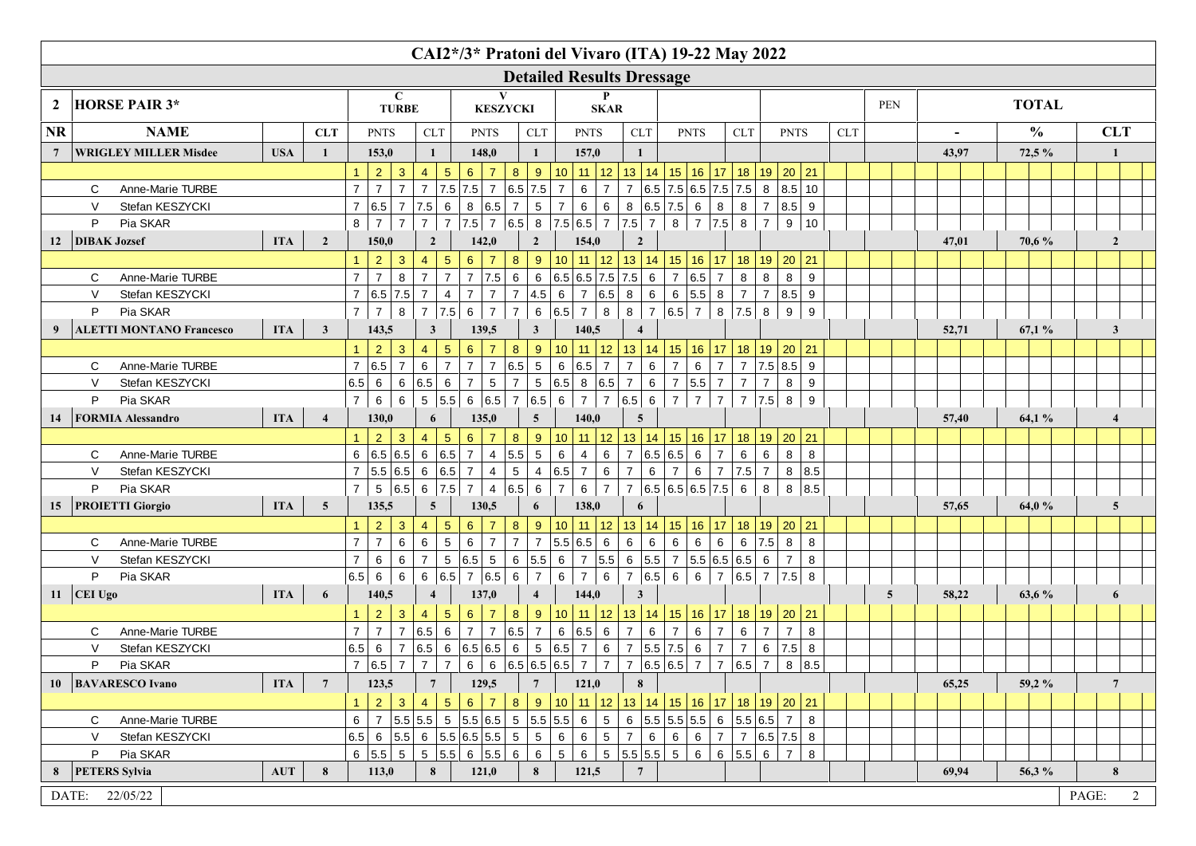|                                                                                    |                                 |                                  |                |                 |                         |                                |                                   |                                                 |                  |                 | CAI2*/3* Pratoni del Vivaro (ITA) 19-22 May 2022                                                            |                            |                                 |                 |                   |                 |                               |            |                |       |               |       |                |
|------------------------------------------------------------------------------------|---------------------------------|----------------------------------|----------------|-----------------|-------------------------|--------------------------------|-----------------------------------|-------------------------------------------------|------------------|-----------------|-------------------------------------------------------------------------------------------------------------|----------------------------|---------------------------------|-----------------|-------------------|-----------------|-------------------------------|------------|----------------|-------|---------------|-------|----------------|
| <b>Detailed Results Dressage</b><br>$\mathbf C$<br><b>TURBE</b><br><b>KESZYCKI</b> |                                 |                                  |                |                 |                         |                                |                                   |                                                 |                  |                 |                                                                                                             |                            |                                 |                 |                   |                 |                               |            |                |       |               |       |                |
| $\mathbf{2}$                                                                       | <b>HORSE PAIR 3*</b>            |                                  |                |                 |                         |                                |                                   |                                                 |                  |                 | <b>SKAR</b>                                                                                                 |                            |                                 |                 |                   |                 |                               |            | PEN            |       | <b>TOTAL</b>  |       |                |
| <b>NR</b>                                                                          | <b>NAME</b>                     |                                  |                |                 |                         |                                |                                   |                                                 |                  |                 |                                                                                                             |                            |                                 |                 | <b>CLT</b>        |                 |                               | <b>CLT</b> |                |       | $\frac{0}{0}$ |       | <b>CLT</b>     |
|                                                                                    |                                 |                                  | <b>CLT</b>     |                 | <b>PNTS</b>             |                                | <b>CLT</b>                        | <b>PNTS</b>                                     |                  | CLT             | <b>PNTS</b>                                                                                                 | ${\rm CLT}$                | <b>PNTS</b>                     |                 |                   |                 | <b>PNTS</b>                   |            |                |       |               |       |                |
| $7\phantom{.0}$                                                                    | <b>WRIGLEY MILLER Misdee</b>    | <b>USA</b>                       | $\mathbf{1}$   |                 | 153,0<br>2 <sup>1</sup> |                                | $\mathbf{1}$                      | 148,0<br>$\overline{7}$                         |                  | 1               | 157,0<br>10                                                                                                 | 1                          |                                 |                 |                   |                 |                               |            |                | 43,97 | 72,5 %        |       |                |
|                                                                                    | Anne-Marie TURBE<br>C           |                                  |                | $\overline{7}$  | $\overline{7}$          | $\mathbf{3}$<br>$\overline{7}$ | $5\phantom{.0}$<br>$\overline{4}$ | $6\phantom{1}$<br>7   7.5   7.5   7   6.5   7.5 | 8                | 9               | 11   12   13   14   15   16   17   18   19   20   21<br>$\overline{7}$<br>$6\phantom{.0}$<br>$\overline{7}$ |                            | 7  6.5 7.5 6.5 7.5 7.5 8 8.5 10 |                 |                   |                 |                               |            |                |       |               |       |                |
|                                                                                    | Stefan KESZYCKI<br>$\vee$       |                                  |                | 7 6.5           |                         | $\overline{7}$                 | $7.5$ 6                           | 8 6.5 7                                         |                  | $5\phantom{.0}$ | $\overline{7}$<br>$6\overline{6}$<br>6 <sup>1</sup>                                                         |                            | 8 6.5 7.5 6 8                   |                 | $8 \mid$          |                 | 7 8.5 9                       |            |                |       |               |       |                |
|                                                                                    | Pia SKAR<br>P                   |                                  |                | 8               | $\overline{7}$          | $\overline{7}$                 | 7 <sup>1</sup><br>$\overline{7}$  |                                                 |                  |                 | $ 7.5 $ 7 $ 6.5 $ 8 $ 7.5 6.5 $ 7 $ 7.5 $ 7 $ $                                                             |                            | $8 \mid 7 \mid 7.5 \mid 8 \mid$ |                 |                   | 7 <sup>1</sup>  | 9 10                          |            |                |       |               |       |                |
|                                                                                    | 12 DIBAK Jozsef                 | <b>ITA</b>                       | $\overline{2}$ |                 | 150,0                   |                                | $\overline{2}$                    | 142,0                                           |                  | $\overline{2}$  | 154,0                                                                                                       | $\overline{2}$             |                                 |                 |                   |                 |                               |            |                | 47,01 | 70,6 %        |       | $\overline{2}$ |
|                                                                                    |                                 |                                  |                | $\mathbf{1}$    | $\overline{2}$          | $\mathbf{3}$                   | $\sqrt{5}$<br>$\overline{4}$      | $6\phantom{.}6$<br>$\overline{7}$               | $\bf{8}$         | $9\,$           | $10$   11   12   13   14   15   16   17   18   19   20   21                                                 |                            |                                 |                 |                   |                 |                               |            |                |       |               |       |                |
|                                                                                    | Anne-Marie TURBE<br>C           |                                  |                | $\overline{7}$  | $\overline{7}$          | 8                              | $\overline{7}$<br>$\overline{7}$  | 7 7.5 6                                         |                  | $\,6\,$         | 6.5 6.5 7.5 7.5 6 7 6.5 7                                                                                   |                            |                                 |                 | 8                 | 8               | 8<br>9                        |            |                |       |               |       |                |
|                                                                                    | $\vee$<br>Stefan KESZYCKI       |                                  |                |                 | 7   6.5   7.5           |                                | $\overline{4}$<br>$\overline{7}$  | $\overline{7}$<br>$\overline{7}$                | $ 7\rangle$      |                 | $ 4.5 $ 6   7   6.5   8   6                                                                                 |                            |                                 |                 |                   |                 | 6 $ 5.5 $ 8   7   7   8.5   9 |            |                |       |               |       |                |
|                                                                                    | Pia SKAR<br>P                   |                                  |                | $\overline{7}$  | $\overline{7}$          | 8                              | 7 7.5                             | $6\overline{6}$<br>$\overline{7}$               | $\overline{7}$   |                 | 6 6.5 7 8                                                                                                   |                            | $8$   7   6.5   7   8   7.5   8 |                 |                   |                 | 9<br>9                        |            |                |       |               |       |                |
| 9                                                                                  | <b>ALETTI MONTANO Francesco</b> | <b>ITA</b>                       | $\mathbf{3}$   |                 | 143,5                   |                                | $\mathbf{3}$                      | 139,5                                           |                  | $\mathbf{3}$    | 140,5                                                                                                       | $\overline{\mathbf{4}}$    |                                 |                 |                   |                 |                               |            |                | 52,71 | 67,1%         |       | $\mathbf{3}$   |
|                                                                                    |                                 |                                  |                | $\mathbf{1}$    | $\overline{2}$          | 3 <sup>°</sup>                 | $\sqrt{5}$<br>$\overline{4}$      | $6\phantom{1}$<br>$\overline{7}$                | 8                | 9               | 10   11   12   13   14   15   16   17                                                                       |                            |                                 |                 |                   |                 | 18   19   20   21             |            |                |       |               |       |                |
|                                                                                    | Anne-Marie TURBE<br>C           |                                  |                | 7 6.5           |                         | $\overline{7}$                 | $\overline{7}$<br>6               | $\overline{7}$                                  | 7 6.5            | $5\phantom{.0}$ | $ 6.5 $ 7<br>$6\phantom{.}6$                                                                                | $\overline{7}$<br>$\,6\,$  | $\overline{7}$                  | $6 \mid 7$      |                   |                 | 7   7.5   8.5   9             |            |                |       |               |       |                |
|                                                                                    | $\vee$<br>Stefan KESZYCKI       |                                  |                | 6.5             | 6                       |                                | 6 6.5 <br>6                       | $\overline{7}$<br>$5\overline{)}$               | $\overline{7}$   | $5\phantom{.0}$ | $ 6.5 $ 8 $ 6.5 $ 7 $ $                                                                                     |                            | 6   7   5.5   7                 |                 | $\overline{7}$    | $\overline{7}$  | 8<br>9                        |            |                |       |               |       |                |
|                                                                                    | Pia SKAR<br>P                   |                                  |                | $\overline{7}$  | 6                       | 6                              | 5   5.5                           | 6 6.5 7 6.5                                     |                  |                 | 6<br>$\vert$ 7                                                                                              | 7 6.5 6 7                  |                                 | $7 \mid 7$      |                   | 7   7.5   8     | 9                             |            |                |       |               |       |                |
| 14                                                                                 | <b>FORMIA Alessandro</b>        | <b>ITA</b>                       | $\overline{4}$ |                 | 130,0                   |                                | 6                                 | 135,0                                           |                  | 5               | 140,0                                                                                                       | 5                          |                                 |                 |                   |                 |                               |            |                | 57,40 | 64,1 %        |       | 4              |
|                                                                                    |                                 |                                  |                | $\mathbf{1}$    | $\overline{2}$          | $\mathbf{3}$                   | $5\phantom{.0}$<br>$\overline{4}$ | $6\phantom{.}6$<br>$\overline{7}$               | $\boldsymbol{8}$ | 9               | 10   11   12   13   14   15   16   17   18   19   20   21                                                   |                            |                                 |                 |                   |                 |                               |            |                |       |               |       |                |
|                                                                                    | Anne-Marie TURBE<br>C           |                                  |                |                 | 6 6.5 6.5               |                                | 6 6.5                             | $\overline{7}$                                  | $4$ 5.5 5        |                 | $6\overline{6}$<br>$6\overline{6}$<br>$\frac{1}{4}$                                                         |                            | 7 6.5 6.5 6 7                   |                 | $6\overline{6}$   | $6\phantom{.}6$ | $8\phantom{.}$<br>$\bf8$      |            |                |       |               |       |                |
|                                                                                    | Stefan KESZYCKI<br>$\vee$       |                                  |                |                 | 7   5.5   6.5           |                                | 6   6.5   7                       | $\overline{4}$                                  | 5                |                 | 4 6.5 7 6                                                                                                   | 7 6                        | 7 <sup>1</sup>                  |                 | $6$   7   7.5   7 |                 | 8 8.5                         |            |                |       |               |       |                |
|                                                                                    | P<br>Pia SKAR                   |                                  |                | $7^{\circ}$     | 5 6.5                   |                                | 6   7.5                           | $7\overline{ }$                                 | 4   6.5   6      |                 | $6 \mid 7 \mid$<br>$\overline{7}$                                                                           |                            | 7 6.5 6.5 6.5 7.5 6             |                 |                   | 8               | 8 8.5                         |            |                |       |               |       |                |
| 15                                                                                 | <b>PROIETTI Giorgio</b>         | <b>ITA</b>                       | $\overline{5}$ |                 | 135,5                   |                                | $\overline{5}$                    | 130,5                                           |                  | 6               | 138,0                                                                                                       | 6                          |                                 |                 |                   |                 |                               |            |                | 57,65 | 64,0 %        |       | 5 <sup>5</sup> |
|                                                                                    |                                 |                                  |                | $\mathbf{1}$    | $\overline{2}$          | 3 <sup>2</sup>                 | $\overline{5}$<br>$\overline{4}$  | $\boldsymbol{6}$<br>$\overline{7}$              | $\boldsymbol{8}$ | 9               | 10   11   12   13   14   15   16   17   18   19   20   21                                                   |                            |                                 |                 |                   |                 |                               |            |                |       |               |       |                |
|                                                                                    | Anne-Marie TURBE<br>C           |                                  |                | $\overline{7}$  | $\overline{7}$          | $\,6\,$                        | $\overline{5}$<br>$\,6\,$         | 6<br>$\overline{7}$                             | $\boxed{7}$      |                 | 7 5.5 6.5 6                                                                                                 | $\,6\,$<br>$\,6\,$         | $\,6\,$                         | $6 \mid 6 \mid$ |                   | 6 7.5 8         | 8                             |            |                |       |               |       |                |
|                                                                                    | Stefan KESZYCKI<br>$\vee$       |                                  |                | $7\overline{ }$ | 6                       | 6                              | $\overline{7}$                    | 5 6.5 5                                         |                  |                 | $  6   5.5   6   7   5.5   6   5.5   7   5.5   6.5   6.5   6$                                               |                            |                                 |                 |                   |                 | 8<br>$7\overline{ }$          |            |                |       |               |       |                |
|                                                                                    | P<br>Pia SKAR                   |                                  |                | $ 6.5 $ 6       |                         | 6                              |                                   | 6 6.5 7 6.5 6                                   |                  | $ 7\rangle$     | $6 \mid 7 \mid 6$                                                                                           |                            | 7 6.5 6 6 7 6.5 7 7.5 8         |                 |                   |                 |                               |            |                |       |               |       |                |
| 11 CEI Ugo                                                                         |                                 | <b>ITA</b>                       | 6              |                 | 140,5                   |                                | $\overline{\mathbf{4}}$           | 137,0                                           |                  | $\overline{4}$  | 144,0                                                                                                       | $\mathbf{3}$               |                                 |                 |                   |                 |                               |            | $\overline{5}$ | 58,22 | 63,6 %        |       | 6              |
|                                                                                    |                                 |                                  |                | $\mathbf{1}$    | $\overline{2}$          | $\mathbf{3}$                   | $5\phantom{.0}$<br>$\overline{4}$ | 6<br>$\overline{7}$                             | 8                | 9               | $10$   11   12   13   14   15   16   17                                                                     |                            |                                 |                 |                   |                 | 18 19 20 21                   |            |                |       |               |       |                |
|                                                                                    | C<br>Anne-Marie TURBE           |                                  |                | $\overline{7}$  | $\overline{7}$          |                                | 6<br>7 6.5                        | $\overline{7}$                                  | 7 6.5 7          |                 | 6  6.5  6                                                                                                   | 7<br>$6\phantom{.}6$       | $\overline{7}$                  | $6 \mid 7$      | 6                 | $\overline{7}$  | $\overline{7}$<br>8           |            |                |       |               |       |                |
|                                                                                    | $\vee$<br>Stefan KESZYCKI       |                                  |                | $6.5 \,   \, 6$ |                         |                                |                                   | 7 6.5 6 6.5 6.5 6                               |                  |                 | 5 6.5 7<br>$\,6\,$                                                                                          |                            | 7 5.5 7.5 6 7                   |                 | $7^{\circ}$       | 6               | 8<br> 7.5                     |            |                |       |               |       |                |
|                                                                                    | P<br>Pia SKAR                   |                                  |                |                 | 7   6.5   7             |                                | $\overline{7}$<br>$\overline{7}$  |                                                 |                  |                 |                                                                                                             |                            |                                 |                 |                   |                 | 8 8.5                         |            |                |       |               |       |                |
|                                                                                    | 10   BAVARESCO Ivano            | <b>ITA</b>                       | $\overline{7}$ |                 | 123,5                   |                                |                                   | 129,5                                           |                  |                 | 121,0                                                                                                       | 8                          |                                 |                 |                   |                 |                               |            |                | 65,25 | 59,2%         |       |                |
|                                                                                    |                                 |                                  |                | $\mathbf{1}$    | 2                       | 3 <sup>1</sup>                 | 5 <sup>5</sup><br>$\overline{4}$  | 6 <sup>1</sup><br>$ 7\rangle$                   | 8 <sup>°</sup>   | 9               | 10   11   12   13   14   15   16   17   18   19   20   21                                                   |                            |                                 |                 |                   |                 |                               |            |                |       |               |       |                |
|                                                                                    | Anne-Marie TURBE<br>C.          |                                  |                | 6 <sup>1</sup>  |                         |                                |                                   |                                                 |                  |                 | $7$  5.5   5.5   5   5.5   6.5   5   5.5   5.5   6   5                                                      |                            | 6 $ 5.5 5.5 5.5 6 5.5 6.5 7 8$  |                 |                   |                 |                               |            |                |       |               |       |                |
|                                                                                    | $\vee$<br>Stefan KESZYCKI       |                                  |                |                 |                         |                                |                                   | $ 6.5 $ 6   5.5   6   5.5   6.5   5.5   5       |                  | $5\phantom{.0}$ | $6 \mid 5 \mid$<br>$6 \mid$                                                                                 | $6 \mid$<br>$\overline{7}$ |                                 |                 |                   |                 | 6 6 7 7 6.5 7.5 8             |            |                |       |               |       |                |
|                                                                                    | P<br>Pia SKAR                   |                                  |                |                 |                         |                                |                                   | $6$   5.5   5   5   5.5   6   5.5   6           |                  | 6               | $6$   5   5.5   5.5   6   6   5.5   6   7   8<br>5 <sup>1</sup>                                             |                            |                                 |                 |                   |                 |                               |            |                |       |               |       |                |
| 8                                                                                  | <b>PETERS</b> Sylvia            | $\mathbf{A}\mathbf{U}\mathbf{T}$ | 8              |                 | 113,0                   |                                | 8 <sup>1</sup>                    | 121,0                                           |                  | 8               | 121,5                                                                                                       | $7\phantom{.0}$            |                                 |                 |                   |                 |                               |            |                | 69,94 | 56,3 %        |       | 8              |
|                                                                                    | DATE: 22/05/22                  |                                  |                |                 |                         |                                |                                   |                                                 |                  |                 |                                                                                                             |                            |                                 |                 |                   |                 |                               |            |                |       |               | PAGE: | $\overline{2}$ |
|                                                                                    |                                 |                                  |                |                 |                         |                                |                                   |                                                 |                  |                 |                                                                                                             |                            |                                 |                 |                   |                 |                               |            |                |       |               |       |                |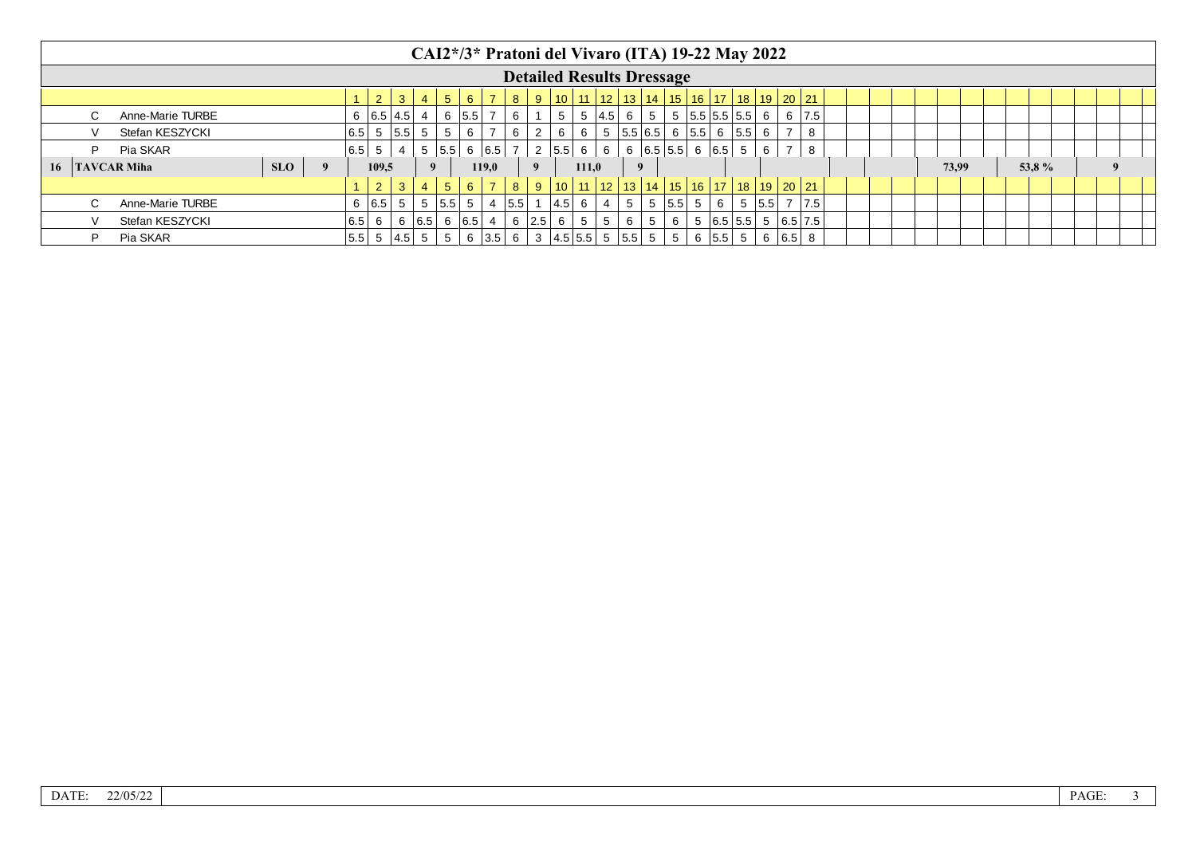|                              |                  |  |  |  |                |                   |                |                   |                |                   |             |                   |         |       |                |   |                | CAI2*/3* Pratoni del Vivaro (ITA) 19-22 May 2022              |                               |             |     |              |  |  |       |  |       |   |  |
|------------------------------|------------------|--|--|--|----------------|-------------------|----------------|-------------------|----------------|-------------------|-------------|-------------------|---------|-------|----------------|---|----------------|---------------------------------------------------------------|-------------------------------|-------------|-----|--------------|--|--|-------|--|-------|---|--|
|                              |                  |  |  |  |                |                   |                |                   |                |                   |             |                   |         |       |                |   |                | <b>Detailed Results Dressage</b>                              |                               |             |     |              |  |  |       |  |       |   |  |
|                              |                  |  |  |  | 2 <sup>2</sup> | 3                 | $\overline{4}$ | 5 <sup>5</sup>    | $6^{\circ}$    |                   | $8^{\circ}$ |                   |         |       |                |   |                | 9   10   11   12   13   14   15   16   17   18   19   20   21 |                               |             |     |              |  |  |       |  |       |   |  |
|                              | Anne-Marie TURBE |  |  |  |                | 6   6.5   4.5     |                |                   | 6   5.5        |                   | 6           |                   | 5       |       | $ 4.5 $ 6      |   | 5 <sup>1</sup> |                                                               | 5   5.5   5.5   5.5   6       |             |     | $6 \mid 7.5$ |  |  |       |  |       |   |  |
|                              | Stefan KESZYCKI  |  |  |  |                | $ 6.5 $ 5 $ 5.5 $ | 5              | $5^{\circ}$       | 6              | $\overline{7}$    | 6           | 2                 | 6       | 6     |                |   |                | 5   5.5   6.5   6   5.5   6   5.5   6                         |                               |             |     | 8            |  |  |       |  |       |   |  |
| D                            | Pia SKAR         |  |  |  | $ 6.5 $ 5      |                   |                | 5.5               |                | 6   6.5           |             |                   | 2   5.5 | 6     | 6              |   |                | $6$   6.5   5.5   6   6.5   5                                 |                               | 6           |     | 8            |  |  |       |  |       |   |  |
| <b>SLO</b><br>16 TAVCAR Miha |                  |  |  |  |                | 109.5             |                |                   |                | 119.0             |             |                   |         | 111,0 |                |   | 9              |                                                               |                               |             |     |              |  |  | 73.99 |  | 53,8% | 9 |  |
|                              |                  |  |  |  | $2^{\circ}$    | 3 <sup>°</sup>    | $\overline{4}$ | 5 <sup>5</sup>    | 6 <sup>1</sup> | $\overline{7}$    | 8           | -9                |         |       |                |   |                | 10   11   12   13   14   15   16   17   18   19   20   21     |                               |             |     |              |  |  |       |  |       |   |  |
| C.                           | Anne-Marie TURBE |  |  |  |                | 6   6.5   5       |                | 5   5.5           | 5              |                   | 4   5.5     |                   | 4.5     | 6     |                | 5 |                | 5   5.5   5                                                   | 6                             | 5   5.5   7 |     | 7.5          |  |  |       |  |       |   |  |
|                              | Stefan KESZYCKI  |  |  |  | $ 6.5 $ 6      |                   |                | 6   6.5   6   6.5 |                | 4                 |             | $6 \mid 2.5 \mid$ | 6       | 5     | 5 <sup>1</sup> | 6 | 5 <sup>1</sup> | 6                                                             | 5   6.5   5.5   5   6.5   7.5 |             |     |              |  |  |       |  |       |   |  |
| D                            | Pia SKAR         |  |  |  |                | $5.5$ 5 4.5       |                | 5                 |                | $6 \mid 3.5 \mid$ | 6           |                   |         |       |                |   |                | 3 4.5 5.5 5 5.5 5 5                                           | $6 \mid 5.5 \mid 5$           | 6           | 6.5 |              |  |  |       |  |       |   |  |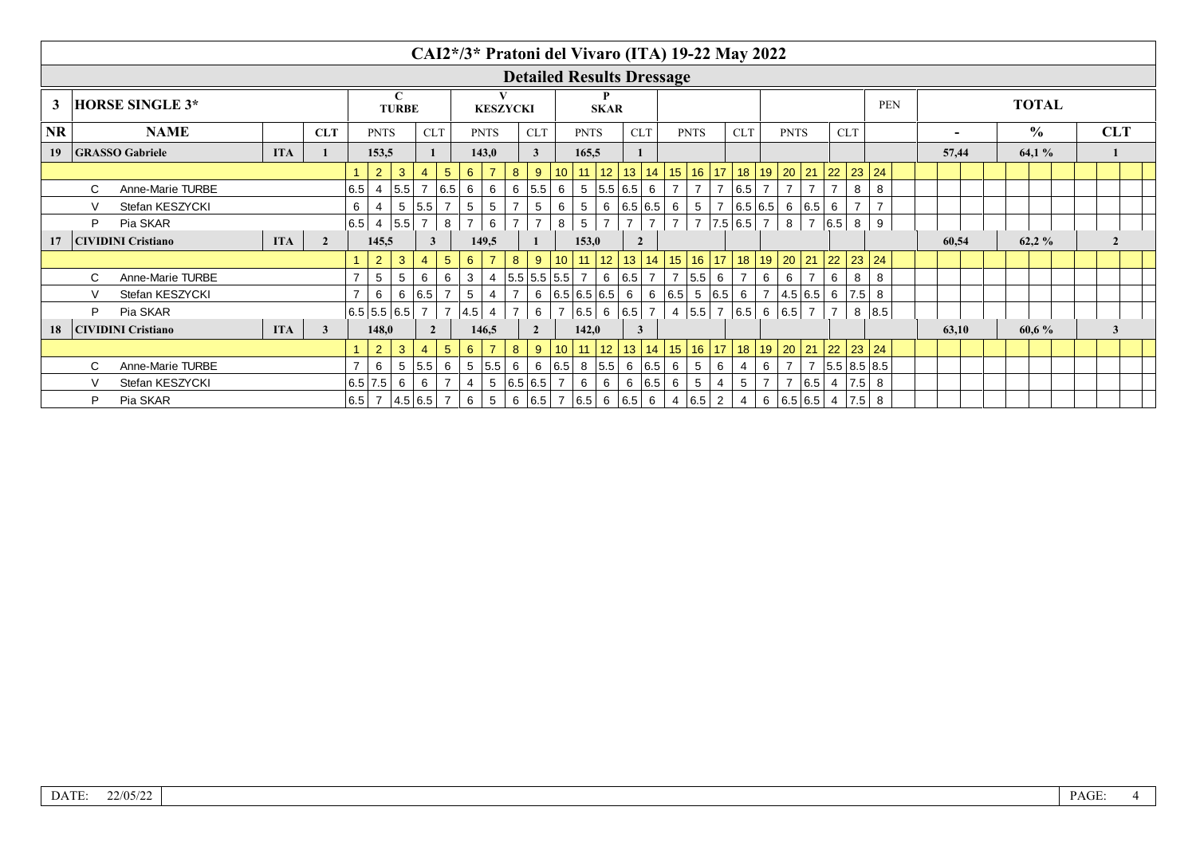| CAI2*/3* Pratoni del Vivaro (ITA) 19-22 May 2022<br><b>Detailed Results Dressage</b><br>$\mathbf C$<br><b>TOTAL</b><br>3<br><b>HORSE SINGLE 3*</b><br><b>PEN</b><br><b>TURBE</b><br><b>SKAR</b><br><b>KESZYCKI</b><br><b>NR</b><br>$\frac{6}{9}$<br><b>NAME</b><br><b>CLT</b><br><b>PNTS</b><br><b>CLT</b><br><b>PNTS</b><br><b>CLT</b><br><b>PNTS</b><br><b>CLT</b><br><b>PNTS</b><br><b>CLT</b><br><b>PNTS</b><br><b>CLT</b><br><b>GRASSO Gabriele</b><br><b>ITA</b><br>165,5<br>64,1%<br>19<br>153,5<br>143,0<br>3<br>57,44 |                                       |                           |                              |              |     |                   |                         |                |                |                 |                 |                     |   |                                                           |   |                   |                |                |                 |                |                                                           |                |                |                |       |                      |                 |       |  |       |  |                |  |
|--------------------------------------------------------------------------------------------------------------------------------------------------------------------------------------------------------------------------------------------------------------------------------------------------------------------------------------------------------------------------------------------------------------------------------------------------------------------------------------------------------------------------------|---------------------------------------|---------------------------|------------------------------|--------------|-----|-------------------|-------------------------|----------------|----------------|-----------------|-----------------|---------------------|---|-----------------------------------------------------------|---|-------------------|----------------|----------------|-----------------|----------------|-----------------------------------------------------------|----------------|----------------|----------------|-------|----------------------|-----------------|-------|--|-------|--|----------------|--|
|                                                                                                                                                                                                                                                                                                                                                                                                                                                                                                                                |                                       |                           |                              |              |     |                   |                         |                |                |                 |                 |                     |   |                                                           |   |                   |                |                |                 |                |                                                           |                |                |                |       |                      |                 |       |  |       |  |                |  |
|                                                                                                                                                                                                                                                                                                                                                                                                                                                                                                                                |                                       |                           |                              |              |     |                   |                         |                |                |                 |                 |                     |   |                                                           |   |                   |                |                |                 |                |                                                           |                |                |                |       |                      |                 |       |  |       |  |                |  |
|                                                                                                                                                                                                                                                                                                                                                                                                                                                                                                                                |                                       |                           |                              |              |     |                   |                         |                |                |                 |                 |                     |   |                                                           |   |                   |                |                |                 |                |                                                           |                |                |                |       |                      |                 |       |  |       |  | <b>CLT</b>     |  |
|                                                                                                                                                                                                                                                                                                                                                                                                                                                                                                                                |                                       |                           |                              |              |     |                   |                         |                |                |                 |                 |                     |   |                                                           |   |                   |                |                |                 |                |                                                           |                |                |                |       |                      |                 |       |  |       |  |                |  |
|                                                                                                                                                                                                                                                                                                                                                                                                                                                                                                                                |                                       |                           |                              |              |     | $\overline{2}$    | $\mathbf{3}$            | 4              | $5^{\circ}$    | $6^{\circ}$     | $\overline{7}$  | 8<br>9              |   | $10$ 11 12                                                |   |                   |                |                |                 |                | 13   14   15   16   17   18   19   20   21   22   23   24 |                |                |                |       |                      |                 |       |  |       |  |                |  |
|                                                                                                                                                                                                                                                                                                                                                                                                                                                                                                                                | C.                                    | Anne-Marie TURBE          |                              |              | 6.5 | 4                 | 5.5                     | 7 6.5          |                | 6               | 6               | $6 \mid 5.5 \mid$   | 6 |                                                           |   | 5 5.5 6.5 6       |                | -7             |                 | 7              | 6.5                                                       |                |                |                |       | 8                    | 8               |       |  |       |  |                |  |
|                                                                                                                                                                                                                                                                                                                                                                                                                                                                                                                                |                                       | Stefan KESZYCKI           |                              |              | 6   | $\overline{4}$    |                         | 5 5.5 7        |                | $5\phantom{.0}$ | 5               | 5                   | 6 | 5                                                         |   | 6   6.5   6.5   6 |                |                | 5 <sup>5</sup>  | $\overline{7}$ | 6.5 6.5 6 6.5                                             |                |                |                | 6     |                      |                 |       |  |       |  |                |  |
|                                                                                                                                                                                                                                                                                                                                                                                                                                                                                                                                |                                       | Pia SKAR                  |                              |              |     | $ 6.5 $ 4 $ 5.5 $ |                         | $\overline{7}$ | 8              | $\overline{7}$  | 6               | $\overline{7}$      | 8 | 5                                                         |   |                   | $\overline{7}$ | $\overline{7}$ |                 |                | $7$   7.5   6.5   7                                       |                | 8 <sup>1</sup> | $\overline{7}$ | 6.5 8 |                      | 9               |       |  |       |  |                |  |
| 17                                                                                                                                                                                                                                                                                                                                                                                                                                                                                                                             |                                       | <b>CIVIDINI Cristiano</b> | <b>ITA</b><br>$\overline{2}$ |              |     | 145,5             |                         | $\mathbf{3}$   |                | 149.5           |                 |                     |   | 153,0                                                     |   |                   |                |                |                 |                |                                                           |                |                |                |       |                      |                 | 60,54 |  | 62.2% |  | $\overline{2}$ |  |
|                                                                                                                                                                                                                                                                                                                                                                                                                                                                                                                                |                                       |                           |                              |              |     | $\overline{2}$    | $\mathbf{3}$            | $\overline{4}$ | $5^{\circ}$    | $6^{\circ}$     | $\overline{7}$  | 8<br>$9^{\circ}$    |   | 10   11   12   13   14   15   16   17   18   19   20   21 |   |                   |                |                |                 |                |                                                           |                |                |                |       | $22 \mid 23 \mid 24$ |                 |       |  |       |  |                |  |
|                                                                                                                                                                                                                                                                                                                                                                                                                                                                                                                                | C.                                    | Anne-Marie TURBE          |                              |              |     | 5                 | 5                       | 6              | 6              | 3               | 4               | 5.5 5.5 5.5 7       |   |                                                           |   | 6 6.5 7 7         |                |                | $ 5.5 $ 6       |                |                                                           | 6              | 6              |                | 6     | 8                    | 8               |       |  |       |  |                |  |
|                                                                                                                                                                                                                                                                                                                                                                                                                                                                                                                                |                                       | Stefan KESZYCKI           |                              |              |     | 6                 |                         | 6   6.5   7    |                | 5               | 4               | 6                   |   | 6.5 6.5 6.5 6 6 6.5 5 6.5 6                               |   |                   |                |                |                 |                |                                                           | $\overline{7}$ |                | 4.5 6.5        |       | $6 \mid 7.5 \mid$    | 8               |       |  |       |  |                |  |
|                                                                                                                                                                                                                                                                                                                                                                                                                                                                                                                                |                                       | Pia SKAR                  |                              |              |     | 6.5 5.5 6.5       |                         | $\overline{7}$ | $\overline{7}$ | $ 4.5 $ 4       |                 | 6                   |   | 6.5  6  6.5   7                                           |   |                   |                |                | 4 5.5 7         |                | 6.5  6  6.5  7                                            |                |                |                |       |                      | 8 8.5           |       |  |       |  |                |  |
| 18                                                                                                                                                                                                                                                                                                                                                                                                                                                                                                                             |                                       |                           | <b>ITA</b>                   | $\mathbf{3}$ |     | 148,0             |                         | $\overline{2}$ |                | 146.5           |                 | $\mathbf{2}$        |   | 142,0                                                     |   |                   |                |                |                 |                |                                                           |                |                |                |       |                      |                 | 63,10 |  | 60,6% |  |                |  |
|                                                                                                                                                                                                                                                                                                                                                                                                                                                                                                                                |                                       |                           |                              |              |     | $\overline{2}$    | $\mathbf{3}$            |                | 5 <sup>5</sup> | $6^{\circ}$     |                 | 8<br>9              |   | $10$ 11 12                                                |   |                   |                |                |                 |                | 13   14   15   16   17   18   19   20   21                |                |                |                |       | $22 \mid 23 \mid 24$ |                 |       |  |       |  |                |  |
|                                                                                                                                                                                                                                                                                                                                                                                                                                                                                                                                | C.                                    | Anne-Marie TURBE          |                              |              |     | 6                 | $5\overline{)}$         | $5.5$ 6        |                | $5\overline{)}$ | 5.5             | 6<br>6              |   | $ 6.5 $ 8 $ 5.5 $                                         |   |                   |                | 6   6.5   6    | 5               | 6              | 4                                                         | 6              | $\overline{7}$ | $\overline{7}$ |       |                      | 5.5   8.5   8.5 |       |  |       |  |                |  |
|                                                                                                                                                                                                                                                                                                                                                                                                                                                                                                                                |                                       | Stefan KESZYCKI           |                              |              |     | 6.5 7.5           | 6                       | 6              | $\overline{7}$ | 4               | $5\overline{)}$ | 6.5 6.5             |   | 6                                                         | 6 | 6                 | 6.5            | 6              | $5\phantom{.0}$ | 4              | $5\overline{)}$                                           | $\overline{7}$ | $\overline{7}$ | 6.5            |       | 4   7.5              | 8               |       |  |       |  |                |  |
|                                                                                                                                                                                                                                                                                                                                                                                                                                                                                                                                | <b>CIVIDINI Cristiano</b><br>Pia SKAR |                           |                              |              |     |                   | $ 6.5 $ 7 $ 4.5 6.5 $ 7 |                |                | 6               | 5               | 6 6.5 7 6.5 6 6.5 6 |   |                                                           |   |                   |                |                | 4   6.5   2     |                | 4                                                         |                |                | 6   6.5   6.5  |       | $4 \mid 7.5 \mid 8$  |                 |       |  |       |  |                |  |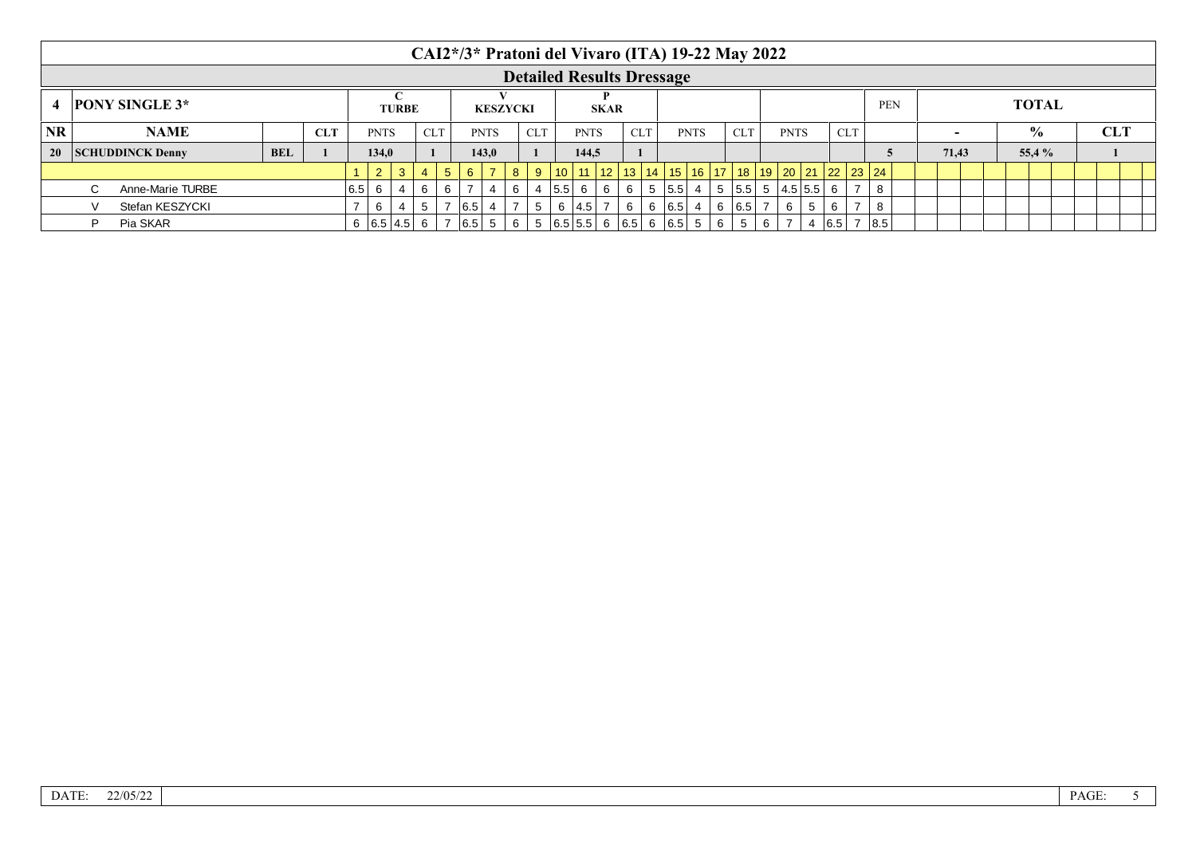|                                         |  |                         |            |            |     |             |                   |                |                |             |                |                 |             |         | CAI2*/3* Pratoni del Vivaro (ITA) 19-22 May 2022 |             |            |             |                 |   |            |   |             |                       |                                                                            |            |  |        |  |               |  |            |  |
|-----------------------------------------|--|-------------------------|------------|------------|-----|-------------|-------------------|----------------|----------------|-------------|----------------|-----------------|-------------|---------|--------------------------------------------------|-------------|------------|-------------|-----------------|---|------------|---|-------------|-----------------------|----------------------------------------------------------------------------|------------|--|--------|--|---------------|--|------------|--|
|                                         |  |                         |            |            |     |             |                   |                |                |             |                |                 |             |         | <b>Detailed Results Dressage</b>                 |             |            |             |                 |   |            |   |             |                       |                                                                            |            |  |        |  |               |  |            |  |
| <b>PONY SINGLE 3*</b><br>$\overline{4}$ |  |                         |            |            |     |             | <b>TURBE</b>      |                |                |             |                | <b>KESZYCKI</b> |             |         |                                                  | <b>SKAR</b> |            |             |                 |   |            |   |             |                       |                                                                            | <b>PEN</b> |  |        |  | <b>TOTAL</b>  |  |            |  |
| <b>NR</b><br><b>NAME</b>                |  |                         |            | <b>CLT</b> |     | <b>PNTS</b> |                   | <b>CLT</b>     |                |             | <b>PNTS</b>    |                 | <b>CLT</b>  |         | <b>PNTS</b>                                      |             | <b>CLT</b> |             | <b>PNTS</b>     |   | <b>CLT</b> |   | <b>PNTS</b> |                       | <b>CLT</b>                                                                 |            |  | $\sim$ |  | $\frac{0}{0}$ |  | <b>CLT</b> |  |
| <b>20</b>                               |  | <b>SCHUDDINCK Denny</b> | <b>BEL</b> |            |     | 134,0       |                   |                |                |             | 143.0          |                 |             |         | 144.5                                            |             |            |             |                 |   |            |   |             |                       |                                                                            |            |  | 71.43  |  | 55,4 %        |  |            |  |
|                                         |  |                         |            |            |     | $2^{\circ}$ | $\mathbf{3}$      | $\overline{4}$ | 5 <sup>5</sup> | $6^{\circ}$ | $\overline{z}$ | 8               | $9^{\circ}$ |         |                                                  |             |            |             |                 |   |            |   |             |                       | $10$   11   12   13   14   15   16   17   18   19   20   21   22   23   24 |            |  |        |  |               |  |            |  |
|                                         |  | Anne-Marie TURBE        |            |            | 6.5 |             |                   | 6              | 6              |             |                | 6               |             | 4   5.5 | - 6                                              | 6           | -6         | 5   5.5   4 |                 | 5 |            |   |             | $ 5.5 $ 5 $ 4.5 5.5 $ | -6                                                                         | 8          |  |        |  |               |  |            |  |
|                                         |  | Stefan KESZYCKI         |            |            |     | 6           |                   | 5              |                | 7   6.5     |                |                 | 5           |         | 6 $ 4.5 $ 7                                      |             | 6          | 6   6.5     | $\vert 4 \vert$ | 6 | 6.5        |   | 6           | $5^{\circ}$           | 6                                                                          | 8          |  |        |  |               |  |            |  |
|                                         |  | Pia SKAR                |            |            |     |             | 6   6.5   4.5   6 |                |                | 7   6.5   5 |                | 6               |             |         | $5   6.5   5.5   6   6.5   6   6.5   5  $        |             |            |             |                 | 6 | 5          | 6 |             |                       | 6.5                                                                        | 8.5        |  |        |  |               |  |            |  |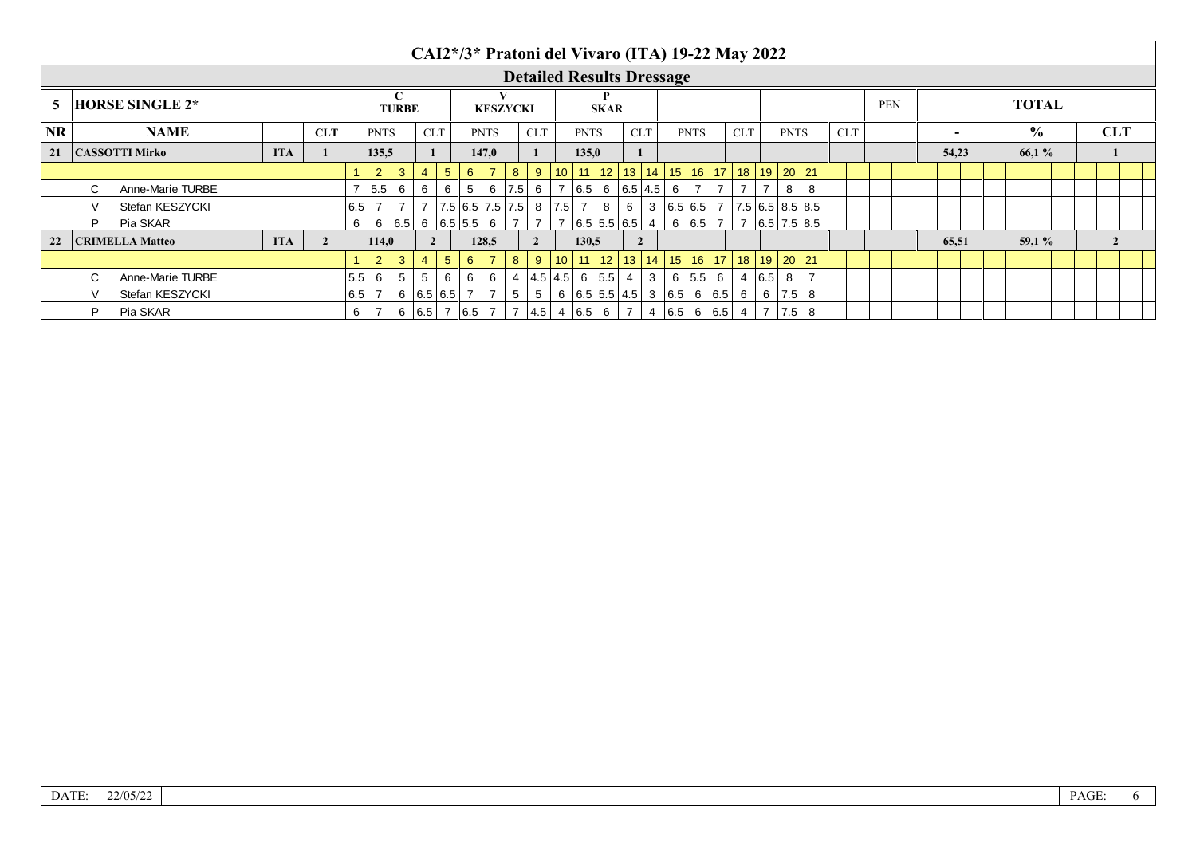|                              |                                     |                        |            |  |             |                |                                              |                 |                 |                       |                |                               |             |                 | CAI2*/3* Pratoni del Vivaro (ITA) 19-22 May 2022            |                |                |              |                                       |                |            |                |             |     |                     |  |            |                          |       |               |              |            |  |  |
|------------------------------|-------------------------------------|------------------------|------------|--|-------------|----------------|----------------------------------------------|-----------------|-----------------|-----------------------|----------------|-------------------------------|-------------|-----------------|-------------------------------------------------------------|----------------|----------------|--------------|---------------------------------------|----------------|------------|----------------|-------------|-----|---------------------|--|------------|--------------------------|-------|---------------|--------------|------------|--|--|
|                              |                                     |                        |            |  |             |                |                                              |                 |                 |                       |                |                               |             |                 | <b>Detailed Results Dressage</b>                            |                |                |              |                                       |                |            |                |             |     |                     |  |            |                          |       |               |              |            |  |  |
| <b>HORSE SINGLE 2*</b><br>5. |                                     |                        |            |  |             |                | C<br><b>TURBE</b>                            |                 |                 |                       |                | <b>KESZYCKI</b>               |             |                 | <b>SKAR</b>                                                 |                |                |              |                                       |                |            |                |             |     |                     |  | <b>PEN</b> |                          |       |               | <b>TOTAL</b> |            |  |  |
| <b>NR</b>                    |                                     | <b>NAME</b>            | <b>CLT</b> |  | <b>PNTS</b> |                | <b>CLT</b>                                   |                 |                 | <b>PNTS</b>           |                | <b>CLT</b>                    |             | <b>PNTS</b>     |                                                             | <b>CLT</b>     |                |              | <b>PNTS</b>                           |                | <b>CLT</b> |                | <b>PNTS</b> |     | <b>CLT</b>          |  |            | $\overline{\phantom{0}}$ |       | $\frac{0}{0}$ |              | <b>CLT</b> |  |  |
| 21                           | <b>ITA</b><br><b>CASSOTTI Mirko</b> |                        |            |  |             | 135,5          |                                              |                 |                 |                       | 147,0          |                               |             |                 | 135,0                                                       |                |                |              |                                       |                |            |                |             |     |                     |  |            |                          | 54,23 |               | 66,1%        |            |  |  |
|                              |                                     |                        |            |  |             | $\overline{2}$ | $\mathbf{3}$                                 | $\overline{4}$  | $5\overline{)}$ | $6^{\circ}$           |                | 8                             | 9           | 10 <sup>1</sup> | 11   12                                                     |                | 13             |              | 14   15   16   17   18   19   20   21 |                |            |                |             |     |                     |  |            |                          |       |               |              |            |  |  |
|                              | C.                                  | Anne-Marie TURBE       |            |  |             | 5.5            | 6                                            | 6               | 6               | $5\overline{)}$       | 6              | 7.5                           | 6           | 7               | $ 6.5 $ 6 $ 6.5 4.5 $ 6                                     |                |                |              |                                       | $\overline{7}$ |            |                |             | 8   | 8                   |  |            |                          |       |               |              |            |  |  |
|                              |                                     | Stefan KESZYCKI        |            |  | 6.5         |                |                                              |                 |                 |                       |                | 7   7.5   6.5   7.5   7.5   8 |             | $ 7.5 $ 7       |                                                             | 8              | 6              |              | 3   6.5   6.5                         |                | 7          |                |             |     | 7.5 6.5 8.5 8.5     |  |            |                          |       |               |              |            |  |  |
|                              | D                                   | Pia SKAR               |            |  | 6           |                | $6 \mid 6.5 \mid 6 \mid 6.5 \mid 5.5 \mid 6$ |                 |                 |                       |                |                               |             |                 | 6.5 5.5 6.5 4                                               |                |                |              |                                       | 6 6.5 7        |            |                |             |     | 7   6.5   7.5   8.5 |  |            |                          |       |               |              |            |  |  |
| 22                           |                                     | <b>CRIMELLA Matteo</b> | <b>ITA</b> |  | 114.0       |                | $\overline{2}$                               |                 |                 | 128.5                 |                | $\overline{2}$                |             | 130.5           |                                                             | $\overline{2}$ |                |              |                                       |                |            |                |             |     |                     |  |            | 65,51                    |       | 59.1%         |              |            |  |  |
|                              |                                     |                        |            |  |             | $\overline{2}$ | 3 <sup>°</sup>                               | $\overline{4}$  | 5 <sup>5</sup>  | $6^{\circ}$           | $\overline{7}$ | 8                             | $9^{\circ}$ |                 | $10$   11   12   13   14   15   16   17   18   19   20   21 |                |                |              |                                       |                |            |                |             |     |                     |  |            |                          |       |               |              |            |  |  |
|                              | $\mathcal{C}$                       | Anne-Marie TURBE       |            |  | 5.5         | 6              | $5\overline{5}$                              | $5\overline{)}$ | 6               | 6                     | 6              |                               |             |                 | 4  4.5 4.5 6  5.5                                           |                | -4             | $\mathbf{3}$ | 6                                     | $ 5.5 $ 6      |            |                | 4   6.5     | 8   |                     |  |            |                          |       |               |              |            |  |  |
|                              |                                     | Stefan KESZYCKI        |            |  | 6.5         |                | 6 6.5 6.5                                    |                 |                 |                       |                | 5                             | 5           |                 | 6 $ 6.5 5.5 4.5 3 6.5 6 6.5 $                               |                |                |              |                                       |                |            | 6              | 6           | 7.5 | 8                   |  |            |                          |       |               |              |            |  |  |
|                              | P                                   | Pia SKAR               |            |  | 6           |                |                                              |                 |                 | 6   6.5   7   6.5   7 |                |                               |             |                 | 7  4.5  4  6.5  6                                           |                | $\overline{7}$ |              | 4   6.5   6   6.5                     |                |            | $\overline{4}$ |             | 7.5 | -8                  |  |            |                          |       |               |              |            |  |  |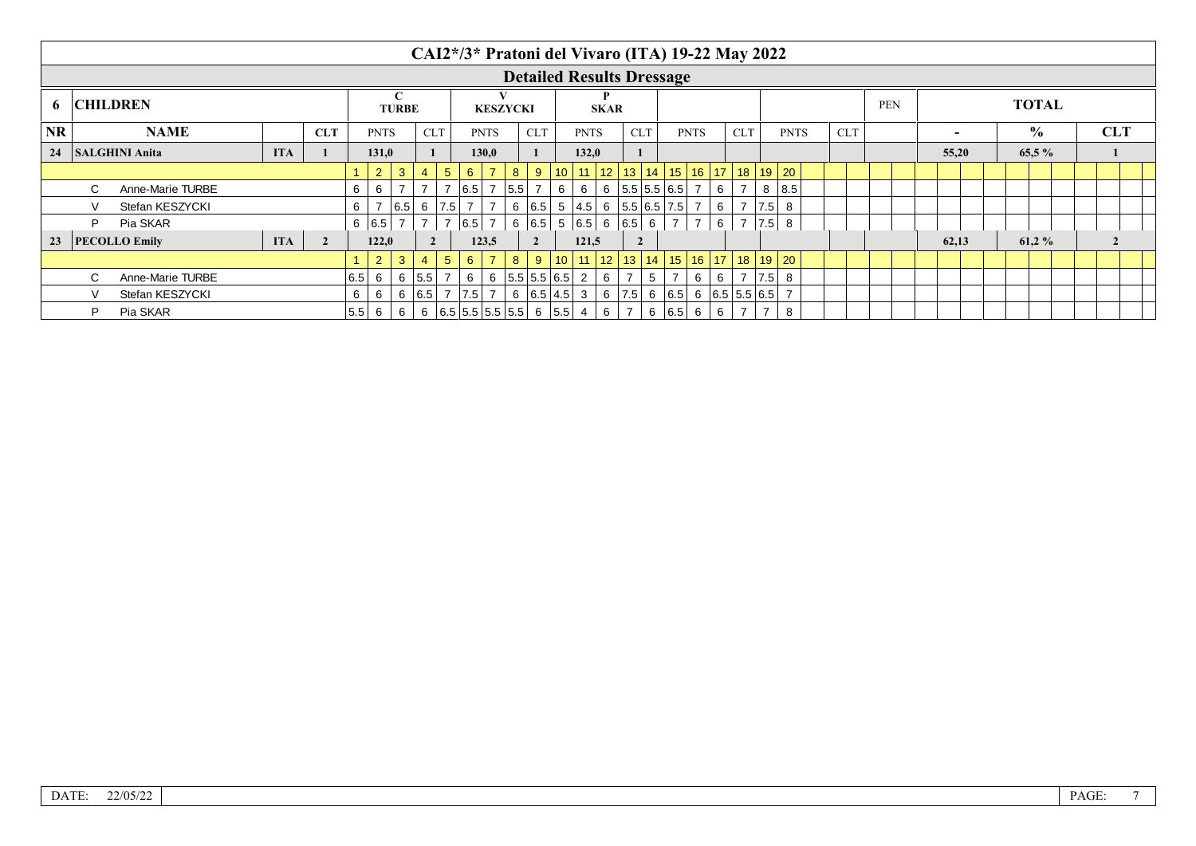|                      |                                     |                      |                              |  |           |                 |                   |                |                 |                 |                | CAI2*/3* Pratoni del Vivaro (ITA) 19-22 May 2022 |                |                |                                                        |             |                |   |                                           |                |   |            |     |             |            |            |                          |  |               |  |            |  |
|----------------------|-------------------------------------|----------------------|------------------------------|--|-----------|-----------------|-------------------|----------------|-----------------|-----------------|----------------|--------------------------------------------------|----------------|----------------|--------------------------------------------------------|-------------|----------------|---|-------------------------------------------|----------------|---|------------|-----|-------------|------------|------------|--------------------------|--|---------------|--|------------|--|
|                      |                                     |                      |                              |  |           |                 |                   |                |                 |                 |                | <b>Detailed Results Dressage</b>                 |                |                |                                                        |             |                |   |                                           |                |   |            |     |             |            |            |                          |  |               |  |            |  |
| <b>CHILDREN</b><br>6 |                                     |                      |                              |  |           |                 | C<br><b>TURBE</b> |                |                 |                 |                | <b>KESZYCKI</b>                                  |                |                |                                                        | <b>SKAR</b> |                |   |                                           |                |   |            |     |             |            | <b>PEN</b> |                          |  | <b>TOTAL</b>  |  |            |  |
| <b>NR</b>            |                                     | <b>NAME</b>          | <b>CLT</b>                   |  |           |                 | <b>PNTS</b>       | <b>CLT</b>     |                 |                 | <b>PNTS</b>    |                                                  | <b>CLT</b>     |                | <b>PNTS</b>                                            |             | <b>CLT</b>     |   |                                           | <b>PNTS</b>    |   | <b>CLT</b> |     | <b>PNTS</b> | <b>CLT</b> |            | $\overline{\phantom{0}}$ |  | $\frac{0}{0}$ |  | <b>CLT</b> |  |
| 24                   | <b>ITA</b><br><b>SALGHINI Anita</b> |                      |                              |  |           | 131,0           |                   |                |                 |                 | 130.0          |                                                  |                |                | 132,0                                                  |             |                |   |                                           |                |   |            |     |             |            |            | 55,20                    |  | $65.5\%$      |  |            |  |
|                      |                                     |                      |                              |  |           | $\overline{2}$  | $\mathbf{3}$      | $\overline{4}$ | $5\phantom{.0}$ | $6^{\circ}$     | $\overline{7}$ | 8                                                | 9              |                | 10 11 12                                               |             |                |   | 13   14   15   16   17   18   19   20     |                |   |            |     |             |            |            |                          |  |               |  |            |  |
|                      | $\mathcal{C}$                       | Anne-Marie TURBE     |                              |  | 6         | 6               |                   |                |                 | $ 6.5 $ 7       |                | 5.5                                              |                | 6 <sup>1</sup> | 6                                                      |             |                |   | $6$   5.5   5.5   6.5                     |                | 6 |            | 8   | 8.5         |            |            |                          |  |               |  |            |  |
|                      |                                     | Stefan KESZYCKI      |                              |  | 6         |                 | 6.5               |                | $6$   7.5       | 7               | -7             |                                                  |                |                | 6 $ 6.5 $ 5 $ 4.5 $ 6 $ 5.5 6.5 7.5 $                  |             |                |   |                                           |                | 6 |            | 7.5 | 8           |            |            |                          |  |               |  |            |  |
|                      | D                                   | Pia SKAR             |                              |  |           | 6 6.5 $\vert$ 7 |                   | $\overline{7}$ |                 | $ 6.5 $ 7       |                | 6   6.5                                          |                |                | 5 6.5 6 6.5 6                                          |             |                |   | $\overline{7}$                            | $\overline{7}$ | 6 |            |     | $ 7.5 $ 8   |            |            |                          |  |               |  |            |  |
| 23                   |                                     | <b>PECOLLO Emily</b> | <b>ITA</b><br>$\overline{2}$ |  |           |                 | 122.0             | $2^{\circ}$    |                 |                 | 123,5          |                                                  | $\overline{2}$ |                | 121,5                                                  |             | $\overline{2}$ |   |                                           |                |   |            |     |             |            |            | 62,13                    |  | 61.2%         |  |            |  |
|                      |                                     |                      |                              |  |           | 2 <sup>2</sup>  | 3 <sup>°</sup>    | $\overline{4}$ | 5 <sup>5</sup>  | $6^{\circ}$     | $\overline{7}$ | 8                                                | 9              |                | $10$   11   12   13   14   15   16   17   18   19   20 |             |                |   |                                           |                |   |            |     |             |            |            |                          |  |               |  |            |  |
|                      | $\mathbf{C}$                        | Anne-Marie TURBE     |                              |  | 6.5       | 6               |                   | 6 5.5 7        |                 | 6               |                | $6$   5.5   5.5   6.5   2                        |                |                |                                                        | 6           |                | 5 |                                           | 6              | 6 |            | 7.5 | 8           |            |            |                          |  |               |  |            |  |
|                      |                                     | Stefan KESZYCKI      |                              |  | 6         | 6               |                   |                |                 | $6$ 6.5 7 7.5 7 |                |                                                  | 6 6.5 4.5 3    |                |                                                        |             |                |   | $6$   7.5   6   6.5   6   6.5   5.5   6.5 |                |   |            |     |             |            |            |                          |  |               |  |            |  |
|                      | P                                   | Pia SKAR             |                              |  | $ 5.5 $ 6 |                 | 6                 |                |                 |                 |                | $6   6.5   5.5   5.5   5.5   6   5.5   4$        |                |                |                                                        | 6           |                |   | 6   6.5   6                               |                | 6 |            |     | 8           |            |            |                          |  |               |  |            |  |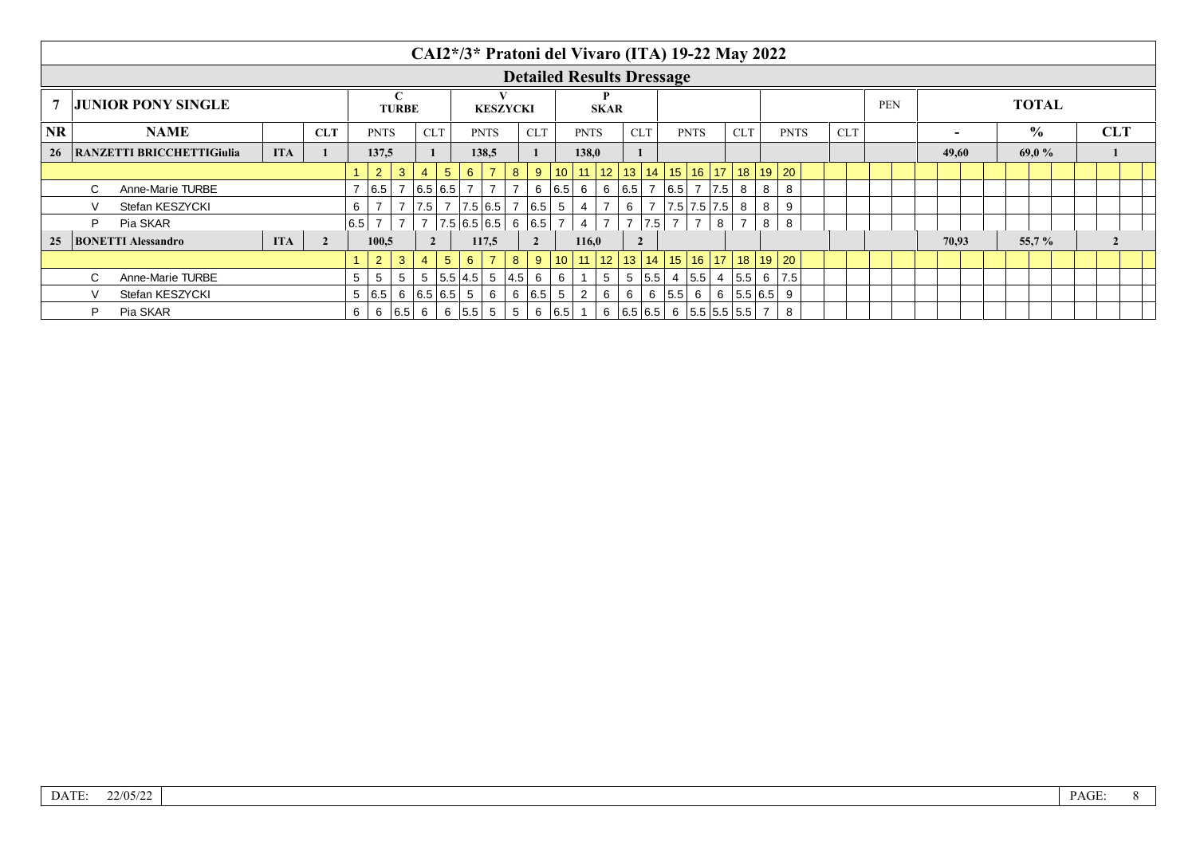|           |    |                                |            |                |     |                |              |                |                |                     | CAI2*/3* Pratoni del Vivaro (ITA) 19-22 May 2022 |             |                                  |            |                |                   |                |                |             |                |   |                                       |   |             |            |            |                |  |               |              |            |  |
|-----------|----|--------------------------------|------------|----------------|-----|----------------|--------------|----------------|----------------|---------------------|--------------------------------------------------|-------------|----------------------------------|------------|----------------|-------------------|----------------|----------------|-------------|----------------|---|---------------------------------------|---|-------------|------------|------------|----------------|--|---------------|--------------|------------|--|
|           |    |                                |            |                |     |                |              |                |                |                     |                                                  |             | <b>Detailed Results Dressage</b> |            |                |                   |                |                |             |                |   |                                       |   |             |            |            |                |  |               |              |            |  |
|           |    | <b>JUNIOR PONY SINGLE</b>      |            |                |     |                | <b>TURBE</b> |                |                |                     | <b>KESZYCKI</b>                                  |             |                                  |            |                | <b>SKAR</b>       |                |                |             |                |   |                                       |   |             |            | <b>PEN</b> |                |  |               | <b>TOTAL</b> |            |  |
| <b>NR</b> |    | <b>NAME</b>                    | <b>CLT</b> |                |     | <b>PNTS</b>    |              | <b>CLT</b>     |                |                     | <b>PNTS</b>                                      |             | <b>CLT</b>                       |            | <b>PNTS</b>    |                   | <b>CLT</b>     |                |             | <b>PNTS</b>    |   | <b>CLT</b>                            |   | <b>PNTS</b> | <b>CLT</b> |            | $\blacksquare$ |  | $\frac{0}{0}$ |              | <b>CLT</b> |  |
|           |    | 26   RANZETTI BRICCHETTIGiulia | <b>ITA</b> |                |     | 137.5          |              |                |                |                     | 138,5                                            |             |                                  |            | 138.0          |                   |                |                |             |                |   |                                       |   |             |            |            | 49,60          |  | 69,0 $%$      |              |            |  |
|           |    |                                |            |                |     | $\overline{2}$ | $\mathbf{3}$ | 4              | 5 <sup>5</sup> | $6^{\circ}$         |                                                  | 8           | 9                                | $10$ 11 12 |                |                   |                |                |             |                |   | 13   14   15   16   17   18   19   20 |   |             |            |            |                |  |               |              |            |  |
|           | C. | Anne-Marie TURBE               |            |                |     | 6.5            |              |                | 7   6.5   6.5  |                     | 7                                                |             | 6   6.5   6                      |            |                | 6 6.5 7 6.5 7 7.5 |                |                |             |                |   | 8                                     | 8 | 8           |            |            |                |  |               |              |            |  |
|           |    | Stefan KESZYCKI                |            |                | 6   |                |              |                |                |                     | $ 7.5 $ 7 $ 7.5 6.5 $                            |             | 6.5                              | 5          | $\overline{4}$ |                   | 6              | $\overline{7}$ | 7.5 7.5 7.5 |                |   | 8                                     | 8 | 9           |            |            |                |  |               |              |            |  |
|           | D  | Pia SKAR                       |            |                | 6.5 | $\overline{7}$ |              |                |                |                     | 7   7.5   6.5   6.5                              |             | 6 6.5                            |            | 4              | $7^{\circ}$       |                | 7.5            |             | $\overline{7}$ | 8 | $\overline{\phantom{a}}$              | 8 | 8           |            |            |                |  |               |              |            |  |
| 25        |    | <b>BONETTI Alessandro</b>      | <b>ITA</b> | $\overline{2}$ |     | 100.5          |              | $\overline{2}$ |                |                     | 117.5                                            |             |                                  |            | 116,0          |                   |                |                |             |                |   |                                       |   |             |            |            | 70,93          |  | 55,7%         |              |            |  |
|           |    |                                |            |                |     | $\overline{2}$ |              |                | 5 <sup>5</sup> | $6^{\circ}$         |                                                  | 8           | 9                                | $10$ 11 12 |                |                   |                |                |             |                |   | 13   14   15   16   17   18   19   20 |   |             |            |            |                |  |               |              |            |  |
|           |    | Anne-Marie TURBE               |            |                | 5   | 5              | 5            |                |                | 5 5.5 4.5 5         |                                                  | 4.5         | 6                                | 6          |                | 5 <sup>1</sup>    |                | 5   5.5        |             | 4   5.5        | 4 | 5.5                                   | 6 | 7.5         |            |            |                |  |               |              |            |  |
|           |    | Stefan KESZYCKI                |            |                |     | 5   6.5        |              |                | 6 6.5 6.5 5    |                     | 6                                                |             | 6   6.5                          | 5          | $\overline{2}$ | 6                 | 6 <sup>1</sup> |                | 6 5.5 6     |                |   | 6 $ 5.5 6.5 $                         |   | 9           |            |            |                |  |               |              |            |  |
|           | P  | Pia SKAR                       |            |                | 6   |                | 6   6.5   6  |                |                | $6 \mid 5.5 \mid 5$ |                                                  | $5^{\circ}$ | 6   6.5   1                      |            |                |                   |                |                |             |                |   | 6   6.5   6.5   6   5.5   5.5   5.5   |   | 8           |            |            |                |  |               |              |            |  |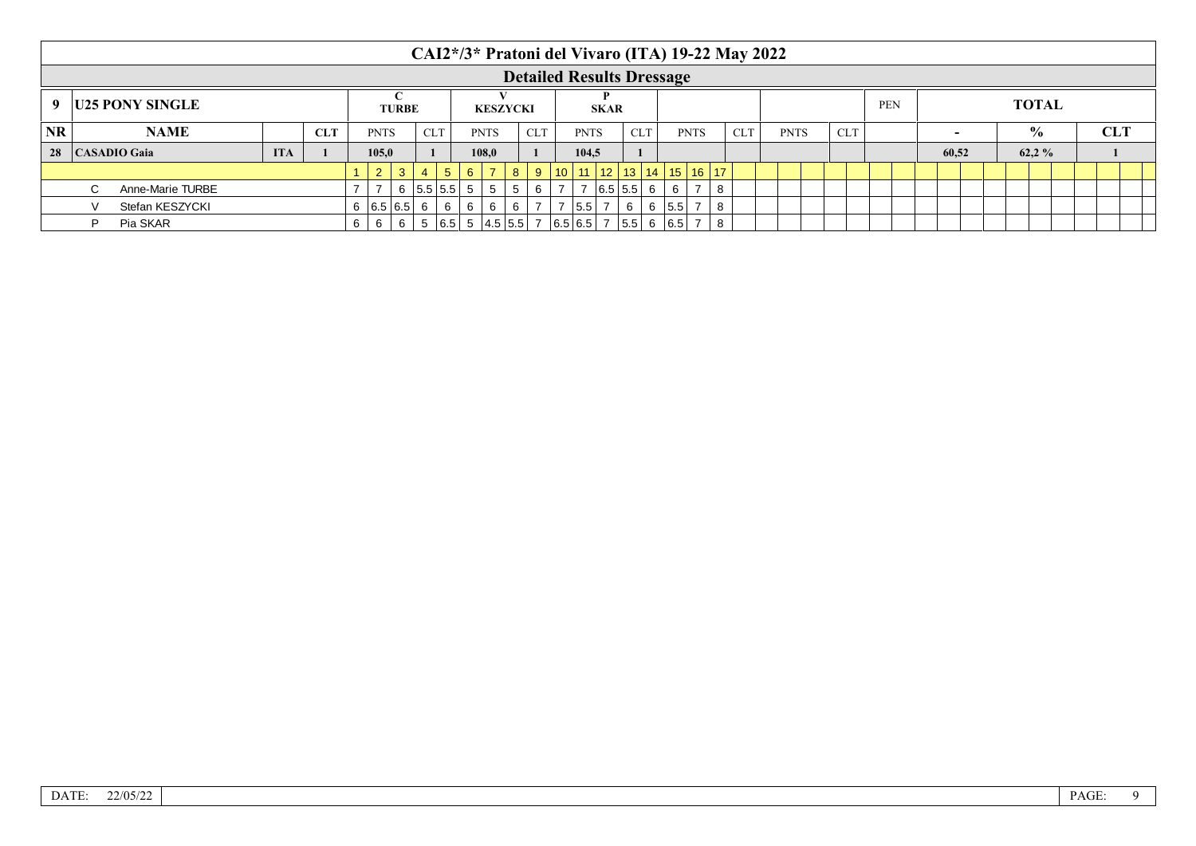|                          |                        |                  |            |            |   |              |               |                |                |             |                 |   |            |             |                                                                   |            |         |             | CAI2*/3* Pratoni del Vivaro (ITA) 19-22 May 2022 |             |            |  |                          |              |               |  |            |  |
|--------------------------|------------------------|------------------|------------|------------|---|--------------|---------------|----------------|----------------|-------------|-----------------|---|------------|-------------|-------------------------------------------------------------------|------------|---------|-------------|--------------------------------------------------|-------------|------------|--|--------------------------|--------------|---------------|--|------------|--|
|                          |                        |                  |            |            |   |              |               |                |                |             |                 |   |            |             | <b>Detailed Results Dressage</b>                                  |            |         |             |                                                  |             |            |  |                          |              |               |  |            |  |
| -9                       | <b>U25 PONY SINGLE</b> |                  |            |            |   | <b>TURBE</b> |               |                |                |             | <b>KESZYCKI</b> |   |            | <b>SKAR</b> |                                                                   |            |         |             |                                                  |             | <b>PEN</b> |  |                          | <b>TOTAL</b> |               |  |            |  |
| <b>NR</b><br><b>NAME</b> |                        |                  |            | <b>CLT</b> |   | <b>PNTS</b>  |               | <b>CLT</b>     |                |             | <b>PNTS</b>     |   | <b>CLT</b> | <b>PNTS</b> |                                                                   | <b>CLT</b> |         | <b>PNTS</b> | <b>CLT</b>                                       | <b>PNTS</b> | <b>CLT</b> |  | $\overline{\phantom{0}}$ |              | $\frac{0}{0}$ |  | <b>CLT</b> |  |
| 28<br>CASADIO Gaia       |                        |                  | <b>ITA</b> |            |   | 105.0        |               |                |                |             | 108.0           |   |            | 104.5       |                                                                   |            |         |             |                                                  |             |            |  | 60.52                    |              | 62,2%         |  |            |  |
|                          |                        |                  |            |            |   | $2^{\circ}$  | $\mathbf{3}$  | $\overline{4}$ | 5 <sup>5</sup> | $6^{\circ}$ | $\overline{7}$  | 8 | 9          |             | 10   11   12   13   14   15   16   17                             |            |         |             |                                                  |             |            |  |                          |              |               |  |            |  |
|                          |                        | Anne-Marie TURBE |            |            |   |              |               | 6   5.5   5.5  |                | 5           | 5               | 5 | 6          |             | 6.5 5.5 6                                                         |            | 6       |             | 8                                                |             |            |  |                          |              |               |  |            |  |
|                          |                        | Stefan KESZYCKI  |            |            |   |              | 6 $ 6.5 6.5 $ | 6              | 6              | 6           | 6               | 6 |            | 5.5         |                                                                   | 6          | 6   5.5 |             | 8                                                |             |            |  |                          |              |               |  |            |  |
|                          |                        | Pia SKAR         |            |            | 6 |              | 6             |                |                |             |                 |   |            |             | $5   6.5   5   4.5   5.5   7   6.5   6.5   7   5.5   6   6.5   7$ |            |         |             | -8                                               |             |            |  |                          |              |               |  |            |  |